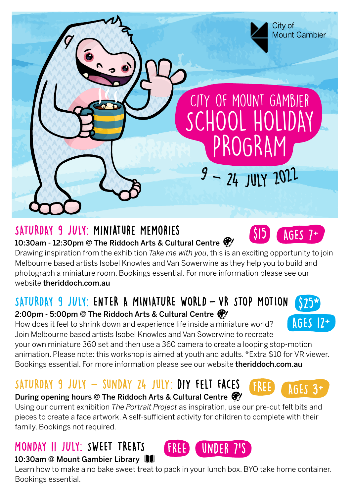

## SATURDAY 9 JULY: Miniature Memories

10:30am - 12:30pm @ The Riddoch Arts & Cultural Centre @

Drawing inspiration from the exhibition *Take me with you*, this is an exciting opportunity to join Melbourne based artists Isobel Knowles and Van Sowerwine as they help you to build and photograph a miniature room. Bookings essential. For more information please see our website theriddoch.com.au

# SATURDAY 9 JULY: ENTER A MINIATURE WORLD - VR STOP MOTION

#### 2:00pm - 5:00pm @ The Riddoch Arts & Cultural Centre  $\mathcal{F}/\mathcal{E}$

How does it feel to shrink down and experience life inside a miniature world? Join Melbourne based artists Isobel Knowles and Van Sowerwine to recreate

your own miniature 360 set and then use a 360 camera to create a looping stop-motion animation. Please note: this workshop is aimed at youth and adults. \*Extra \$10 for VR viewer. Bookings essential. For more information please see our website theriddoch.com.au

# $SATURDAY$  9 JULY  $-$  SUNDAY 24 JULY: DIY FFLT FACFS

#### During opening hours @ The Riddoch Arts & Cultural Centre  $\mathcal{F}$

Using our current exhibition *The Portrait Project* as inspiration, use our pre-cut felt bits and pieces to create a face artwork. A self-sufficient activity for children to complete with their family. Bookings not required.

# MONDAY 11 JULY: SWEET TREATS



Learn how to make a no bake sweet treat to pack in your lunch box. BYO take home container. Bookings essential.

**UNDER 7'S** 







 $AdES$  7+  $\overline{A}$ 

 $\overline{315}$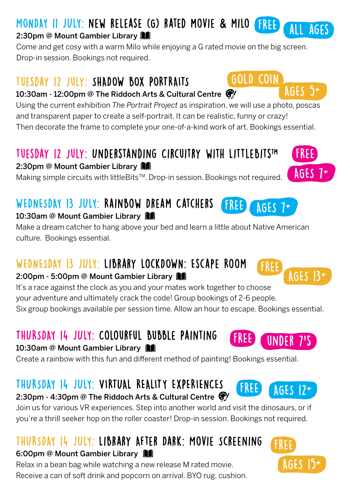# MONDAY 11 JULY: new release (G) rated movie **&** milo

#### 2:30pm @ Mount Gambier Library **N**

Come and get cosy with a warm Milo while enjoying a G rated movie on the big screen. Drop-in session. Bookings not required.

## tuesday 12 july: SHADOW BOX PORTRAITS

10:30am - 12:00pm @ The Riddoch Arts & Cultural Centre &

Using the current exhibition *The Portrait Project* as inspiration, we will use a photo, poscas and transparent paper to create a self-portrait. It can be realistic, funny or crazy! Then decorate the frame to complete your one-of-a-kind work of art. Bookings essential.

# tuesday 12 july: Understanding Circuitry with LittleBitsTM

2:30pm @ Mount Gambier Library

Making simple circuits with littleBitsTM. Drop-in session. Bookings not required.

#### WEDNESDAY 13 JULY: Rainbow Dream Catchers 10:30am @ Mount Gambier Library

Make a dream catcher to hang above your bed and learn a little about Native American culture. Bookings essential.

# WEDNESDAY 13 JULY: Library LockDOWN: Escape Room

#### 2:00pm - 5:00pm @ Mount Gambier Library

It's a race against the clock as you and your mates work together to choose

your adventure and ultimately crack the code! Group bookings of 2-6 people.

Six group bookings available per session time. Allow an hour to escape. Bookings essential.

# THURSDAY 14 JULY: Colourful Bubble Painting

10:30am @ Mount Gambier Library

Create a rainbow with this fun and different method of painting! Bookings essential.

# THURSDAY 14 JULY: VIRTUAL REALITY EXPERIENCES

2:30pm - 4:30pm @ The Riddoch Arts & Cultural Centre  $\mathcal{F}$ 

Join us for various VR experiences. Step into another world and visit the dinosaurs, or if you're a thrill seeker hop on the roller coaster! Drop-in session. Bookings not required.

### THURSDAY 14 JULY: Library After Dark: Movie Screening 6:00pm @ Mount Gambier Library

Relax in a bean bag while watching a new release M rated movie. Receive a can of soft drink and popcorn on arrival. BYO rug, cushion.

#### FREE **UNDFR**

FREE







AGES 7+





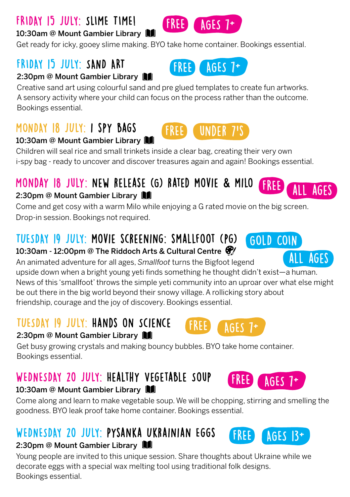# FRIDAY 15 JULY: SLIME TIME!

#### 10:30am @ Mount Gambier Library

Get ready for icky, gooey slime making. BYO take home container. Bookings essential.

## FRIDAY 15 JULY: SAND ART

#### 2:30pm @ Mount Gambier Library

Creative sand art using colourful sand and pre glued templates to create fun artworks. A sensory activity where your child can focus on the process rather than the outcome. Bookings essential.

## MONDAY 18 JULY: i spy bags

### 10:30am @ Mount Gambier Library  $\blacksquare$

Children will seal rice and small trinkets inside a clear bag, creating their very own i-spy bag - ready to uncover and discover treasures again and again! Bookings essential.

FREE

# Monday 18 july: new release (G) rated movie **&** milo

#### 2:30pm @ Mount Gambier Library

Come and get cosy with a warm Milo while enjoying a G rated movie on the big screen. Drop-in session. Bookings not required.

# TUESDAY 19 JULY: movie screening: smallfoot (pg)

#### 10:30am - 12:00pm @ The Riddoch Arts & Cultural Centre  $\mathcal{F}$

An animated adventure for all ages, *Smallfoot* turns the Bigfoot legend upside down when a bright young yeti finds something he thought didn't exist—a human. News of this 'smallfoot' throws the simple yeti community into an uproar over what else might be out there in the big world beyond their snowy village. A rollicking story about friendship, courage and the joy of discovery. Bookings essential. AGES

## TUESDAY 19 JULY: Hands on Science

#### 2:30pm @ Mount Gambier Library

Get busy growing crystals and making bouncy bubbles. BYO take home container. Bookings essential.

# WEDNESDAY 20 JULY: HEALTHY VEGETABLE SOUP

#### 10:30am @ Mount Gambier Library

Come along and learn to make vegetable soup. We will be chopping, stirring and smelling the goodness. BYO leak proof take home container. Bookings essential.

# WEDNESDAY 20 JULY: Pysanka Ukrainian Eggs

#### 2:30pm @ Mount Gambier Library

Young people are invited to this unique session. Share thoughts about Ukraine while we decorate eggs with a special wax melting tool using traditional folk designs. Bookings essential.



under 7's



FREE

FREE



AGES 7+

 $AGES$   $13+$ 



FREE ALL AGES







FREE AGES 7+